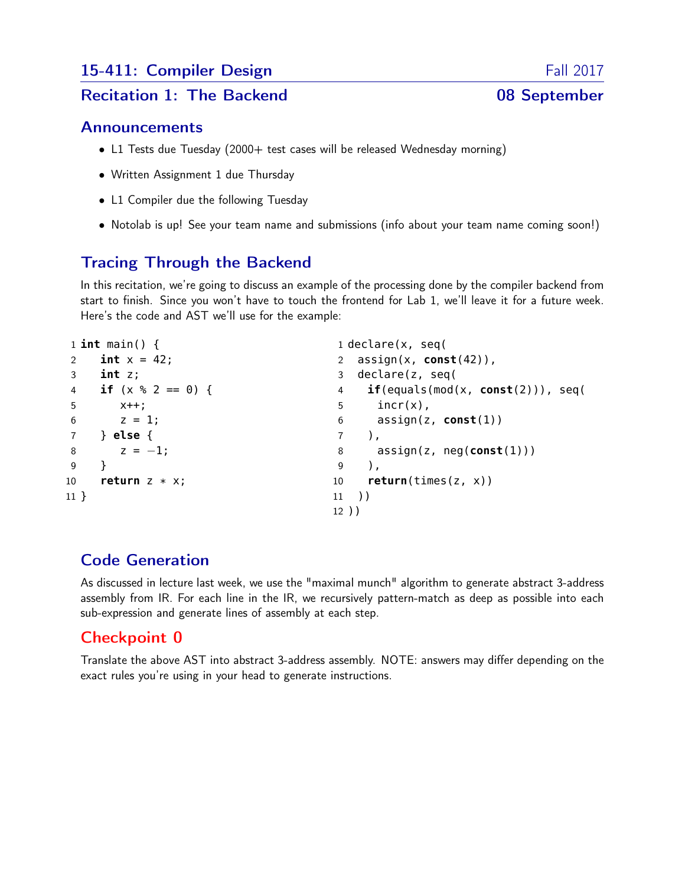# 15-411: Compiler Design Fall 2017

#### Recitation 1: The Backend 08 September

#### Announcements

- L1 Tests due Tuesday (2000+ test cases will be released Wednesday morning)
- Written Assignment 1 due Thursday
- L1 Compiler due the following Tuesday
- Notolab is up! See your team name and submissions (info about your team name coming soon!)

## Tracing Through the Backend

In this recitation, we're going to discuss an example of the processing done by the compiler backend from start to finish. Since you won't have to touch the frontend for Lab 1, we'll leave it for a future week. Here's the code and AST we'll use for the example:

```
1 int main() {
2 int x = 42;
3 int z;
4 if (x % 2 == 0) {
5 x++;
6 \t z = 1;7 } else {
8 z = -1;9 }
10 return z * x;
11 }
                                    1 declare(x, seq(
                                    2 assign(x, const(42)),
                                    3 declare(z, seq(
                                    4 if(equals(mod(x, const(2))), seq(
                                    5 incr(x),
                                    6 assign(z, const(1))
                                    7 ),
                                    8 assign(z, neg(const(1)))
                                    9 ),
                                    10 return(times(z, x))
                                    11 ))
                                    12 ))
```
### Code Generation

As discussed in lecture last week, we use the "maximal munch" algorithm to generate abstract 3-address assembly from IR. For each line in the IR, we recursively pattern-match as deep as possible into each sub-expression and generate lines of assembly at each step.

### Checkpoint 0

Translate the above AST into abstract 3-address assembly. NOTE: answers may differ depending on the exact rules you're using in your head to generate instructions.